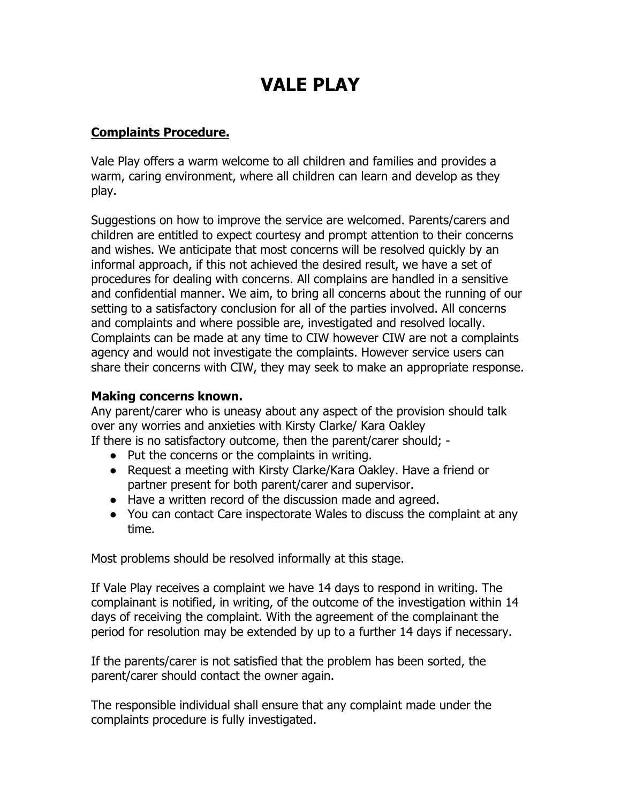## **VALE PLAY**

## **Complaints Procedure.**

Vale Play offers a warm welcome to all children and families and provides a warm, caring environment, where all children can learn and develop as they play.

Suggestions on how to improve the service are welcomed. Parents/carers and children are entitled to expect courtesy and prompt attention to their concerns and wishes. We anticipate that most concerns will be resolved quickly by an informal approach, if this not achieved the desired result, we have a set of procedures for dealing with concerns. All complains are handled in a sensitive and confidential manner. We aim, to bring all concerns about the running of our setting to a satisfactory conclusion for all of the parties involved. All concerns and complaints and where possible are, investigated and resolved locally. Complaints can be made at any time to CIW however CIW are not a complaints agency and would not investigate the complaints. However service users can share their concerns with CIW, they may seek to make an appropriate response.

## **Making concerns known.**

Any parent/carer who is uneasy about any aspect of the provision should talk over any worries and anxieties with Kirsty Clarke/ Kara Oakley If there is no satisfactory outcome, then the parent/carer should; -

- Put the concerns or the complaints in writing.
- Request a meeting with Kirsty Clarke/Kara Oakley. Have a friend or partner present for both parent/carer and supervisor.
- Have a written record of the discussion made and agreed.
- You can contact Care inspectorate Wales to discuss the complaint at any time.

Most problems should be resolved informally at this stage.

If Vale Play receives a complaint we have 14 days to respond in writing. The complainant is notified, in writing, of the outcome of the investigation within 14 days of receiving the complaint. With the agreement of the complainant the period for resolution may be extended by up to a further 14 days if necessary.

If the parents/carer is not satisfied that the problem has been sorted, the parent/carer should contact the owner again.

The responsible individual shall ensure that any complaint made under the complaints procedure is fully investigated.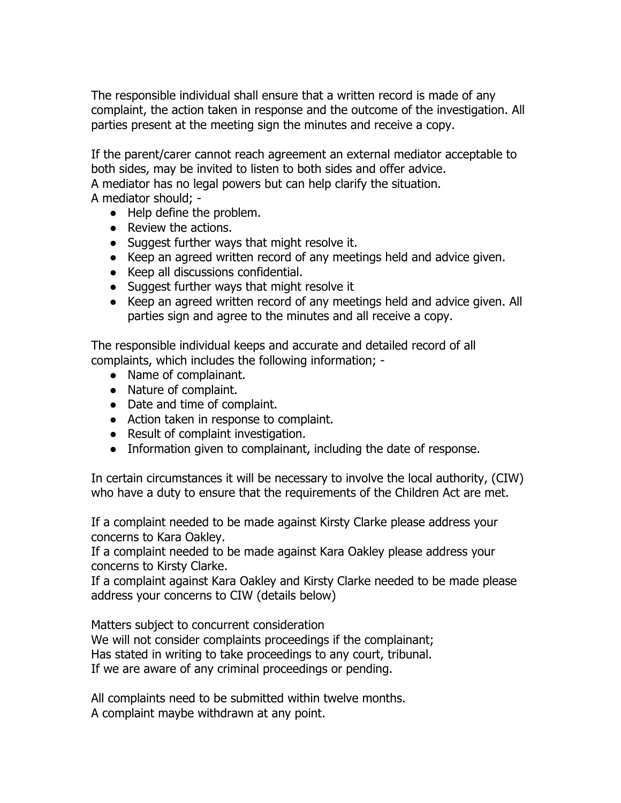The responsible individual shall ensure that a written record is made of any complaint, the action taken in response and the outcome of the investigation. All parties present at the meeting sign the minutes and receive a copy.

If the parent/carer cannot reach agreement an external mediator acceptable to both sides, may be invited to listen to both sides and offer advice. A mediator has no legal powers but can help clarify the situation. A mediator should; -

- Help define the problem.
- Review the actions.
- Suggest further ways that might resolve it.
- Keep an agreed written record of any meetings held and advice given.
- Keep all discussions confidential.
- Suggest further ways that might resolve it
- Keep an agreed written record of any meetings held and advice given. All parties sign and agree to the minutes and all receive a copy.

The responsible individual keeps and accurate and detailed record of all complaints, which includes the following information; -

- Name of complainant.
- Nature of complaint.
- Date and time of complaint.
- Action taken in response to complaint.
- Result of complaint investigation.
- Information given to complainant, including the date of response.

In certain circumstances it will be necessary to involve the local authority, (CIW) who have a duty to ensure that the requirements of the Children Act are met.

If a complaint needed to be made against Kirsty Clarke please address your concerns to Kara Oakley.

If a complaint needed to be made against Kara Oakley please address your concerns to Kirsty Clarke.

If a complaint against Kara Oakley and Kirsty Clarke needed to be made please address your concerns to CIW (details below)

Matters subject to concurrent consideration

We will not consider complaints proceedings if the complainant; Has stated in writing to take proceedings to any court, tribunal. If we are aware of any criminal proceedings or pending.

All complaints need to be submitted within twelve months. A complaint maybe withdrawn at any point.